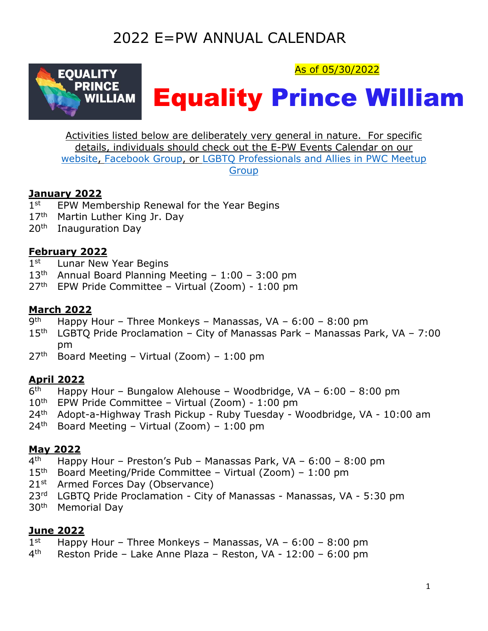

# As of 05/30/2022

# Equality Prince William

Activities listed below are deliberately very general in nature. For specific details, individuals should check out the E-PW Events Calendar on our [website,](http://www.equalityprincewilliam.org/) [Facebook Group,](https://www.facebook.com/groups/26206123007) or [LGBTQ Professionals and Allies in PWC Meetup](https://www.meetup.com/LGBT-Professionals-in-PWC/)  [Group](https://www.meetup.com/LGBT-Professionals-in-PWC/)

#### **January 2022**

- $1^{\rm st}$ EPW Membership Renewal for the Year Begins
- 17<sup>th</sup> Martin Luther King Jr. Day
- 20<sup>th</sup> Inauguration Day

#### **February 2022**

- $1$ <sup>st</sup> Lunar New Year Begins
- $13<sup>th</sup>$  Annual Board Planning Meeting 1:00 3:00 pm
- 27th EPW Pride Committee Virtual (Zoom) 1:00 pm

#### **March 2022**

- **gth** Happy Hour – Three Monkeys – Manassas, VA –  $6:00 - 8:00$  pm
- 15th LGBTQ Pride Proclamation City of Manassas Park Manassas Park, VA 7:00 pm
- $27<sup>th</sup>$ Board Meeting – Virtual (Zoom) – 1:00 pm

#### **April 2022**

- $6<sup>th</sup>$ Happy Hour – Bungalow Alehouse – Woodbridge, VA – 6:00 – 8:00 pm
- 10th EPW Pride Committee Virtual (Zoom) 1:00 pm
- 24<sup>th</sup> Adopt-a-Highway Trash Pickup Ruby Tuesday Woodbridge, VA 10:00 am
- $24<sup>th</sup>$  Board Meeting Virtual (Zoom) 1:00 pm

#### **May 2022**

- $4<sup>th</sup>$ th Happy Hour – Preston's Pub – Manassas Park, VA – 6:00 – 8:00 pm
- 15th Board Meeting/Pride Committee Virtual (Zoom) 1:00 pm
- 21<sup>st</sup> Armed Forces Day (Observance)
- 23<sup>rd</sup> LGBTQ Pride Proclamation City of Manassas Manassas, VA 5:30 pm
- $30<sup>th</sup>$ Memorial Day

#### **June 2022**

- $1$ st Happy Hour – Three Monkeys – Manassas, VA –  $6:00 - 8:00$  pm
- $4<sup>th</sup>$ Reston Pride – Lake Anne Plaza – Reston, VA - 12:00 – 6:00 pm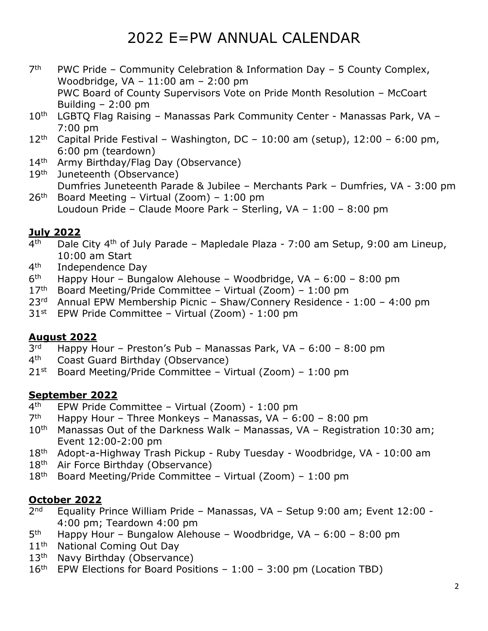- $7<sup>th</sup>$ PWC Pride – Community Celebration & Information Day – 5 County Complex, Woodbridge, VA – 11:00 am – 2:00 pm PWC Board of County Supervisors Vote on Pride Month Resolution – McCoart Building  $-2:00$  pm
- 10<sup>th</sup> LGBTQ Flag Raising Manassas Park Community Center Manassas Park, VA -7:00 pm
- $12<sup>th</sup>$  Capital Pride Festival Washington, DC 10:00 am (setup), 12:00 6:00 pm, 6:00 pm (teardown)
- 14<sup>th</sup> Army Birthday/Flag Day (Observance)
- 19<sup>th</sup> Juneteenth (Observance) Dumfries Juneteenth Parade & Jubilee – Merchants Park – Dumfries, VA - 3:00 pm
- $26<sup>th</sup>$  Board Meeting Virtual (Zoom) 1:00 pm Loudoun Pride – Claude Moore Park – Sterling, VA – 1:00 – 8:00 pm

#### **July 2022**

- $4<sup>th</sup>$ Dale City 4<sup>th</sup> of July Parade – Mapledale Plaza - 7:00 am Setup, 9:00 am Lineup, 10:00 am Start
- $4<sup>th</sup>$ Independence Day
- $6<sup>th</sup>$ Happy Hour – Bungalow Alehouse – Woodbridge, VA –  $6:00$  –  $8:00$  pm
- $17<sup>th</sup>$ Board Meeting/Pride Committee – Virtual (Zoom) – 1:00 pm
- 23rd Annual EPW Membership Picnic Shaw/Connery Residence 1:00 4:00 pm
- $31<sup>st</sup>$  EPW Pride Committee Virtual (Zoom) 1:00 pm

#### **August 2022**

- $3<sup>rd</sup>$ Happy Hour – Preston's Pub – Manassas Park, VA –  $6:00 - 8:00$  pm
- $4<sup>th</sup>$ Coast Guard Birthday (Observance)
- $21$ <sup>st</sup> Board Meeting/Pride Committee Virtual (Zoom) 1:00 pm

#### **September 2022**

- 4<sup>th</sup> EPW Pride Committee – Virtual (Zoom) - 1:00 pm
- $7<sup>th</sup>$ Happy Hour – Three Monkeys – Manassas, VA –  $6:00 - 8:00$  pm
- $10<sup>th</sup>$  Manassas Out of the Darkness Walk Manassas, VA Registration 10:30 am; Event 12:00-2:00 pm
- $18^{\sf th}$ Adopt-a-Highway Trash Pickup - Ruby Tuesday - Woodbridge, VA - 10:00 am
- 18<sup>th</sup> Air Force Birthday (Observance)
- 18th Board Meeting/Pride Committee Virtual (Zoom) 1:00 pm

#### **October 2022**

- $2<sub>nd</sub>$ Equality Prince William Pride – Manassas, VA – Setup 9:00 am; Event 12:00 -4:00 pm; Teardown 4:00 pm
- 5<sup>th</sup> Happy Hour – Bungalow Alehouse – Woodbridge, VA – 6:00 – 8:00 pm
- 11<sup>th</sup> National Coming Out Day
- 13<sup>th</sup> Navy Birthday (Observance)
- $16<sup>th</sup>$  EPW Elections for Board Positions 1:00 3:00 pm (Location TBD)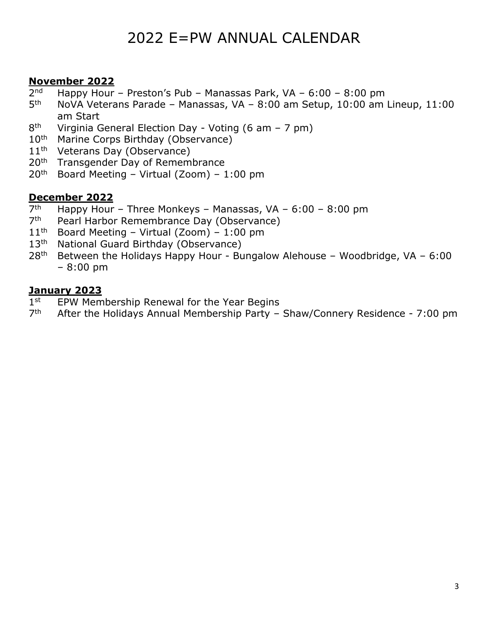#### **November 2022**

- $2<sub>nd</sub>$ Happy Hour – Preston's Pub – Manassas Park, VA –  $6:00 - 8:00$  pm
- $5<sup>th</sup>$ NoVA Veterans Parade – Manassas, VA – 8:00 am Setup, 10:00 am Lineup, 11:00 am Start
- 8<sup>th</sup> Virginia General Election Day - Voting (6 am – 7 pm)
- 10<sup>th</sup> Marine Corps Birthday (Observance)
- 11<sup>th</sup> Veterans Day (Observance)
- 20<sup>th</sup> Transgender Day of Remembrance
- $20<sup>th</sup>$  Board Meeting Virtual (Zoom) 1:00 pm

#### **December 2022**

- $7<sup>th</sup>$ Happy Hour – Three Monkeys – Manassas, VA –  $6:00 - 8:00$  pm
- $7<sup>th</sup>$ Pearl Harbor Remembrance Day (Observance)
- $11<sup>th</sup>$  Board Meeting Virtual (Zoom) 1:00 pm
- 13<sup>th</sup> National Guard Birthday (Observance)
- $28<sup>th</sup>$  Between the Holidays Happy Hour Bungalow Alehouse Woodbridge, VA 6:00 – 8:00 pm

#### **January 2023**

- $1$ st EPW Membership Renewal for the Year Begins
- $7<sup>th</sup>$ After the Holidays Annual Membership Party - Shaw/Connery Residence - 7:00 pm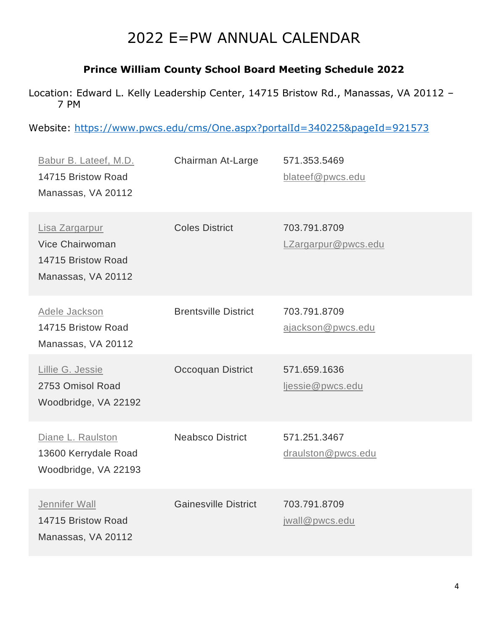#### **Prince William County School Board Meeting Schedule 2022**

Location: Edward L. Kelly Leadership Center, 14715 Bristow Rd., Manassas, VA 20112 – 7 PM

#### Website:<https://www.pwcs.edu/cms/One.aspx?portalId=340225&pageId=921573>

| Babur B. Lateef, M.D.<br>14715 Bristow Road<br>Manassas, VA 20112             | Chairman At-Large           | 571.353.5469<br>blateef@pwcs.edu    |
|-------------------------------------------------------------------------------|-----------------------------|-------------------------------------|
| Lisa Zargarpur<br>Vice Chairwoman<br>14715 Bristow Road<br>Manassas, VA 20112 | <b>Coles District</b>       | 703.791.8709<br>LZargarpur@pwcs.edu |
| Adele Jackson<br>14715 Bristow Road<br>Manassas, VA 20112                     | <b>Brentsville District</b> | 703.791.8709<br>ajackson@pwcs.edu   |
| Lillie G. Jessie<br>2753 Omisol Road<br>Woodbridge, VA 22192                  | Occoquan District           | 571.659.1636<br>ljessie@pwcs.edu    |
| Diane L. Raulston<br>13600 Kerrydale Road<br>Woodbridge, VA 22193             | <b>Neabsco District</b>     | 571.251.3467<br>draulston@pwcs.edu  |
| Jennifer Wall<br>14715 Bristow Road<br>Manassas, VA 20112                     | <b>Gainesville District</b> | 703.791.8709<br>jwall@pwcs.edu      |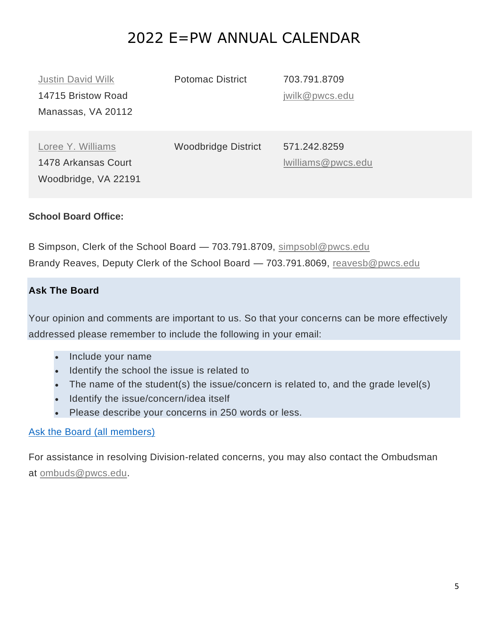| <b>Justin David Wilk</b> | <b>Potomac District</b>    | 703.791.8709       |
|--------------------------|----------------------------|--------------------|
| 14715 Bristow Road       |                            | jwilk@pwcs.edu     |
| Manassas, VA 20112       |                            |                    |
|                          |                            |                    |
| Loree Y. Williams        | <b>Woodbridge District</b> | 571.242.8259       |
| 1478 Arkansas Court      |                            | Iwilliams@pwcs.edu |
| Woodbridge, VA 22191     |                            |                    |

#### **School Board Office:**

B Simpson, Clerk of the School Board — 703.791.8709, [simpsobl@pwcs.edu](mailto:simpsobl@pwcs.edu) Brandy Reaves, Deputy Clerk of the School Board — 703.791.8069, [reavesb@pwcs.edu](mailto:reavesb@pwcs.edu)

#### **Ask The Board**

Your opinion and comments are important to us. So that your concerns can be more effectively addressed please remember to include the following in your email:

- Include your name
- Identify the school the issue is related to
- The name of the student(s) the issue/concern is related to, and the grade level(s)
- Identify the issue/concern/idea itself
- Please describe your concerns in 250 words or less.

#### [Ask the Board \(all members\)](https://www.k12insight.com/Lets-Talk/Dialogue.aspx?k=WB9F4RLT@DY8Y6Y9LT)

For assistance in resolving Division-related concerns, you may also contact the Ombudsman at [ombuds@pwcs.edu.](mailto:ombuds@pwcs.edu)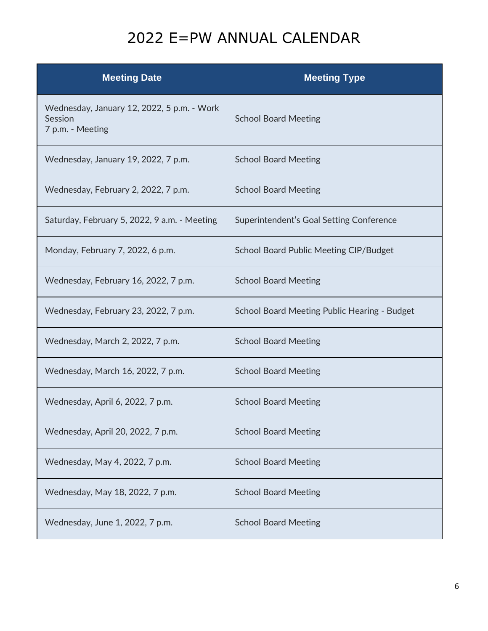| <b>Meeting Date</b>                                                       | <b>Meeting Type</b>                           |
|---------------------------------------------------------------------------|-----------------------------------------------|
| Wednesday, January 12, 2022, 5 p.m. - Work<br>Session<br>7 p.m. - Meeting | <b>School Board Meeting</b>                   |
| Wednesday, January 19, 2022, 7 p.m.                                       | <b>School Board Meeting</b>                   |
| Wednesday, February 2, 2022, 7 p.m.                                       | <b>School Board Meeting</b>                   |
| Saturday, February 5, 2022, 9 a.m. - Meeting                              | Superintendent's Goal Setting Conference      |
| Monday, February 7, 2022, 6 p.m.                                          | <b>School Board Public Meeting CIP/Budget</b> |
| Wednesday, February 16, 2022, 7 p.m.                                      | <b>School Board Meeting</b>                   |
| Wednesday, February 23, 2022, 7 p.m.                                      | School Board Meeting Public Hearing - Budget  |
| Wednesday, March 2, 2022, 7 p.m.                                          | <b>School Board Meeting</b>                   |
| Wednesday, March 16, 2022, 7 p.m.                                         | <b>School Board Meeting</b>                   |
| Wednesday, April 6, 2022, 7 p.m.                                          | <b>School Board Meeting</b>                   |
| Wednesday, April 20, 2022, 7 p.m.                                         | <b>School Board Meeting</b>                   |
| Wednesday, May 4, 2022, 7 p.m.                                            | <b>School Board Meeting</b>                   |
| Wednesday, May 18, 2022, 7 p.m.                                           | <b>School Board Meeting</b>                   |
| Wednesday, June 1, 2022, 7 p.m.                                           | <b>School Board Meeting</b>                   |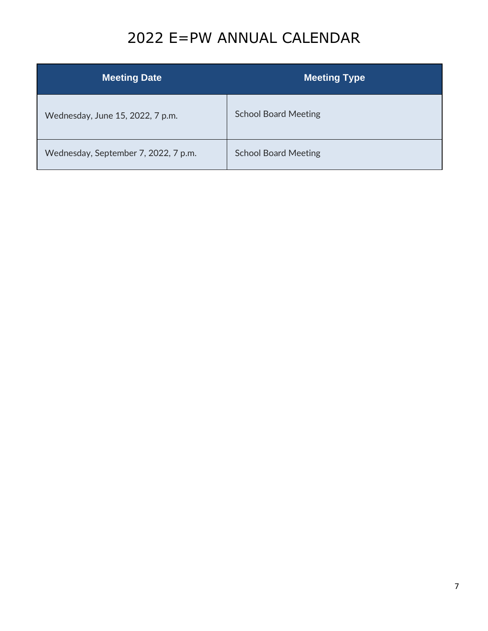| Meeting Date                         | <b>Meeting Type</b>         |
|--------------------------------------|-----------------------------|
| Wednesday, June 15, 2022, 7 p.m.     | <b>School Board Meeting</b> |
| Wednesday, September 7, 2022, 7 p.m. | <b>School Board Meeting</b> |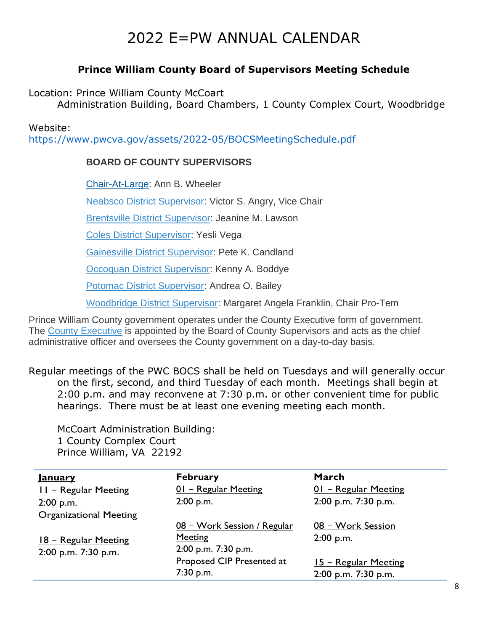#### **Prince William County Board of Supervisors Meeting Schedule**

Location: Prince William County McCoart

Administration Building, Board Chambers, 1 County Complex Court, Woodbridge

Website:

[https://www.pwcva.gov/assets/2022-05/BOCSMeetingSchedule.pdf](https://www.pwcva.gov/assets/2021-05/BOCSMeetingSchedule.pdf)

#### **BOARD OF COUNTY SUPERVISORS**

[Chair-At-Large:](https://www.pwcgov.org/government/bocs/Pages/Chairman-At-Large.aspx) Ann B. Wheeler

[Neabsco District Supervisor:](https://www.pwcgov.org/government/bocs/Pages/Neabsco-District-Supervisor.aspx) Victor S. Angry, Vice Chair

[Brentsville District Supervisor:](https://www.pwcgov.org/government/bocs/Pages/Brentsville-District-Supervisor.aspx) Jeanine M. Lawson

[Coles District Supervisor:](https://www.pwcgov.org/government/bocs/Pages/Coles-District-Supervisor.aspx) Yesli Vega

[Gainesville District Supervisor:](https://www.pwcgov.org/government/bocs/Pages/Gainesville-District-Supervisor.aspx) Pete K. Candland

[Occoquan District Supervisor:](https://www.pwcgov.org/government/bocs/Pages/Occoquan-District-Supervisor.aspx) Kenny A. Boddye

[Potomac District Supervisor:](https://www.pwcgov.org/government/bocs/Pages/Potomac-District-Supervisor.aspx) Andrea O. Bailey

[Woodbridge District Supervisor:](https://www.pwcgov.org/government/bocs/Pages/Woodbridge-District-Supervisor.aspx) Margaret Angela Franklin, Chair Pro-Tem

Prince William County government operates under the County Executive form of government. The [County Executive](https://www.pwcgov.org/government/dept/oem/Pages/County-Executive.aspx) is appointed by the Board of County Supervisors and acts as the chief administrative officer and oversees the County government on a day-to-day basis.

Regular meetings of the PWC BOCS shall be held on Tuesdays and will generally occur on the first, second, and third Tuesday of each month. Meetings shall begin at 2:00 p.m. and may reconvene at 7:30 p.m. or other convenient time for public hearings. There must be at least one evening meeting each month.

McCoart Administration Building: 1 County Complex Court Prince William, VA 22192

| <u>January</u>                | <b>February</b>             | March                        |
|-------------------------------|-----------------------------|------------------------------|
| <u> 11 - Regular Meeting</u>  | 01 - Regular Meeting        | <u>01 - Regular Meeting</u>  |
| $2:00$ p.m.                   | $2:00$ p.m.                 | 2:00 p.m. 7:30 p.m.          |
| <b>Organizational Meeting</b> |                             |                              |
|                               | 08 - Work Session / Regular | 08 - Work Session            |
| <u> 18 - Regular Meeting</u>  | <b>Meeting</b>              | $2:00$ p.m.                  |
| $2:00$ p.m. 7:30 p.m.         | 2:00 p.m. 7:30 p.m.         |                              |
|                               | Proposed CIP Presented at   | <u> 15 - Regular Meeting</u> |
|                               | 7:30 p.m.                   | 2:00 p.m. 7:30 p.m.          |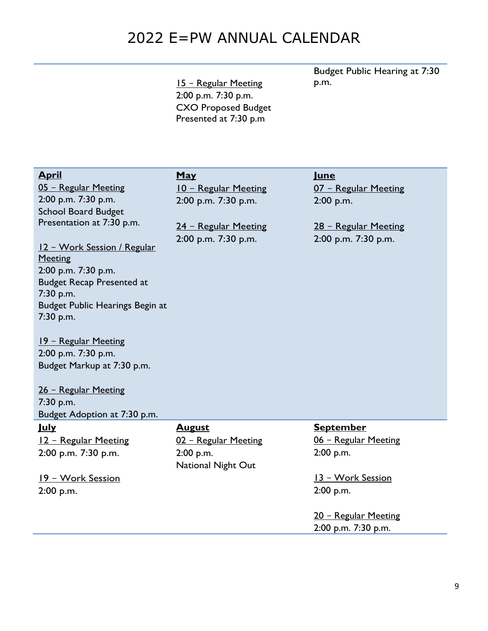15 – Regular Meeting 2:00 p.m. 7:30 p.m. CXO Proposed Budget Presented at 7:30 p.m

Budget Public Hearing at 7:30 p.m.

**June** 

| 05 - Regular Meeting             | 10 - Regular Meeting                        | 07 - Regular Meeting                        |
|----------------------------------|---------------------------------------------|---------------------------------------------|
| 2:00 p.m. 7:30 p.m.              | 2:00 p.m. 7:30 p.m.                         | 2:00 p.m.                                   |
| <b>School Board Budget</b>       |                                             |                                             |
| Presentation at 7:30 p.m.        | 24 - Regular Meeting<br>2:00 p.m. 7:30 p.m. | 28 - Regular Meeting<br>2:00 p.m. 7:30 p.m. |
| 12 - Work Session / Regular      |                                             |                                             |
| <b>Meeting</b>                   |                                             |                                             |
| 2:00 p.m. 7:30 p.m.              |                                             |                                             |
| <b>Budget Recap Presented at</b> |                                             |                                             |
| 7:30 p.m.                        |                                             |                                             |
| Budget Public Hearings Begin at  |                                             |                                             |
| 7:30 p.m.                        |                                             |                                             |
| 19 - Regular Meeting             |                                             |                                             |
| 2:00 p.m. 7:30 p.m.              |                                             |                                             |
| Budget Markup at 7:30 p.m.       |                                             |                                             |
| <u> 26 - Regular Meeting</u>     |                                             |                                             |
| 7:30 p.m.                        |                                             |                                             |
| Budget Adoption at 7:30 p.m.     |                                             |                                             |
| <u>July</u>                      | <b>August</b>                               | <b>September</b>                            |
| 12 - Regular Meeting             | 02 - Regular Meeting                        | 06 - Regular Meeting                        |
| 2:00 p.m. 7:30 p.m.              | 2:00 p.m.                                   | 2:00 p.m.                                   |
|                                  | <b>National Night Out</b>                   |                                             |
| 19 - Work Session                |                                             | 13 - Work Session                           |
| 2:00 p.m.                        |                                             | $2:00$ p.m.                                 |
|                                  |                                             |                                             |

**May** 

**April** 

20 – Regular Meeting 2:00 p.m. 7:30 p.m.